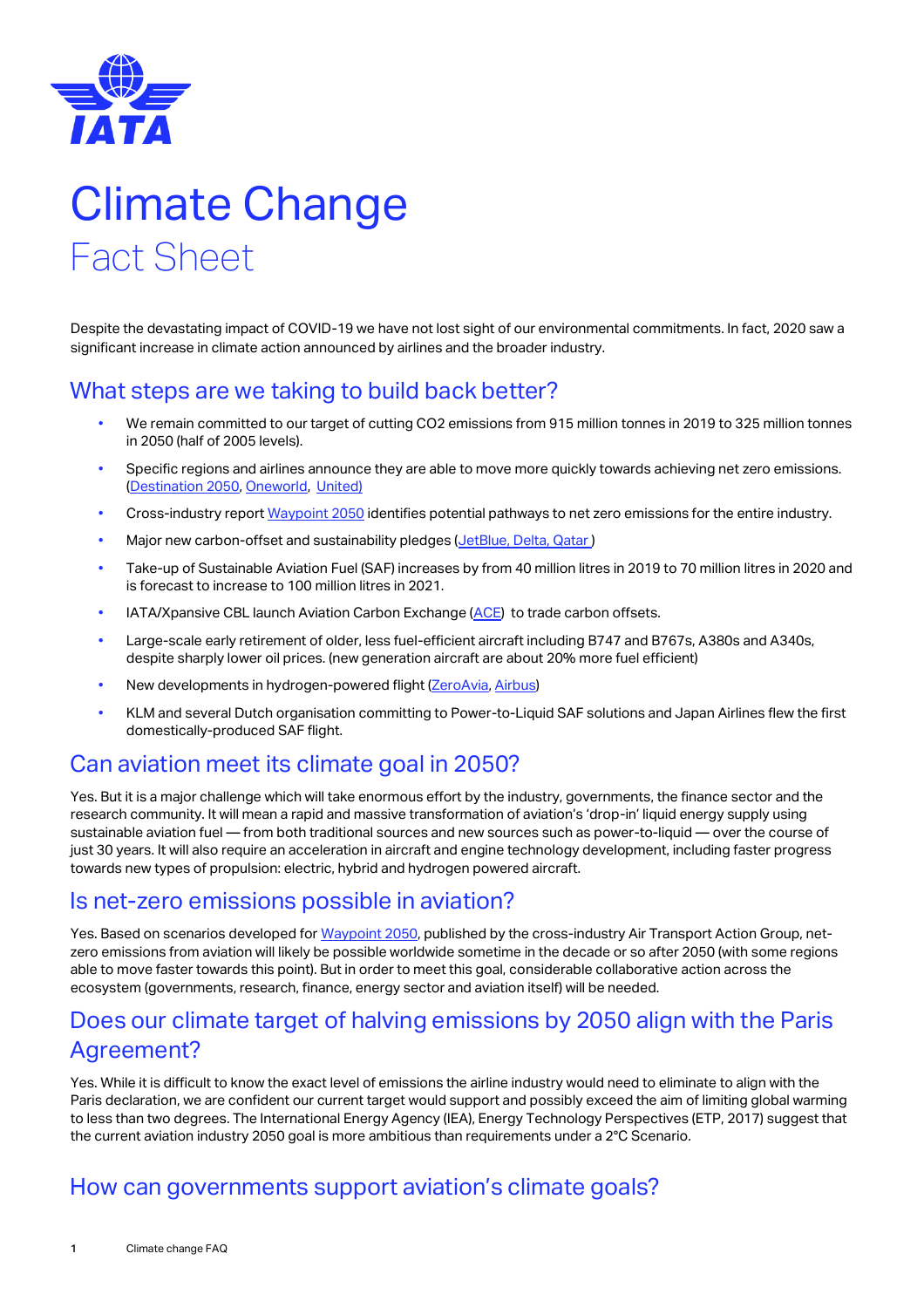

# Climate Change Fact Sheet

Despite the devastating impact of COVID-19 we have not lost sight of our environmental commitments. In fact, 2020 saw a significant increase in climate action announced by airlines and the broader industry.

## What steps are we taking to build back better?

- We remain committed to our target of cutting CO2 emissions from 915 million tonnes in 2019 to 325 million tonnes in 2050 (half of 2005 levels).
- Specific regions and airlines announce they are able to move more quickly towards achieving net zero emissions. [\(Destination 2050,](https://www.destination2050.eu/) [Oneworld,](https://www.oneworld.com/news/2020-09-11-oneworld-member-airlines-commit-to-net-zero-carbon-emissions-by-2050) [United\)](https://hub.united.com/united-pledges-100-green-2050-2649438060.html)
- Cross-industry repor[t Waypoint 2050](https://aviationbenefits.org/media/167187/w2050_full.pdf) identifies potential pathways to net zero emissions for the entire industry.
- Major new carbon-offset and sustainability pledges [\(JetBlue,](http://mediaroom.jetblue.com/investor-relations/press-releases/2020/08-13-2020-152953291#:~:text=JetBlue%20will%20offset%20all%20emissions,passenger%20vehicles%20from%20the%20road.) [Delta,](https://news.delta.com/delta-commits-1-billion-become-first-carbon-neutral-airline-globally) [Qatar](https://www.qatarairways.com/en/press-releases/2020/November/CarbonOffset.html))
- Take-up of Sustainable Aviation Fuel (SAF) increases by from 40 million litres in 2019 to 70 million litres in 2020 and is forecast to increase to 100 million litres in 2021.
- IATA/Xpansive CBL launch Aviation Carbon Exchange [\(ACE\)](https://www.iata.org/en/programs/environment/ace/) to trade carbon offsets.
- Large-scale early retirement of older, less fuel-efficient aircraft including B747 and B767s, A380s and A340s, despite sharply lower oil prices. (new generation aircraft are about 20% more fuel efficient)
- New developments in hydrogen-powered flight [\(ZeroAvia,](https://www.aviationtoday.com/2020/09/29/zeroavia-completes-first-hydrogen-electric-turboprop-flight/) [Airbus\)](https://www.airbus.com/newsroom/press-releases/en/2020/09/airbus-reveals-new-zeroemission-concept-aircraft.html)
- KLM and several Dutch organisation committing to Power-to-Liquid SAF solutions and Japan Airlines flew the first domestically-produced SAF flight.

### Can aviation meet its climate goal in 2050?

Yes. But it is a major challenge which will take enormous effort by the industry, governments, the finance sector and the research community. It will mean a rapid and massive transformation of aviation's 'drop-in' liquid energy supply using sustainable aviation fuel — from both traditional sources and new sources such as power-to-liquid — over the course of just 30 years. It will also require an acceleration in aircraft and engine technology development, including faster progress towards new types of propulsion: electric, hybrid and hydrogen powered aircraft.

#### Is net-zero emissions possible in aviation?

Yes. Based on scenarios developed fo[r Waypoint 2050,](https://aviationbenefits.org/environmental-efficiency/climate-action/waypoint-2050/) published by the cross-industry Air Transport Action Group, netzero emissions from aviation will likely be possible worldwide sometime in the decade or so after 2050 (with some regions able to move faster towards this point). But in order to meet this goal, considerable collaborative action across the ecosystem (governments, research, finance, energy sector and aviation itself) will be needed.

## Does our climate target of halving emissions by 2050 align with the Paris Agreement?

Yes. While it is difficult to know the exact level of emissions the airline industry would need to eliminate to align with the Paris declaration, we are confident our current target would support and possibly exceed the aim of limiting global warming to less than two degrees. The International Energy Agency (IEA), Energy Technology Perspectives (ETP, 2017) suggest that the current aviation industry 2050 goal is more ambitious than requirements under a 2°C Scenario.

## How can governments support aviation's climate goals?